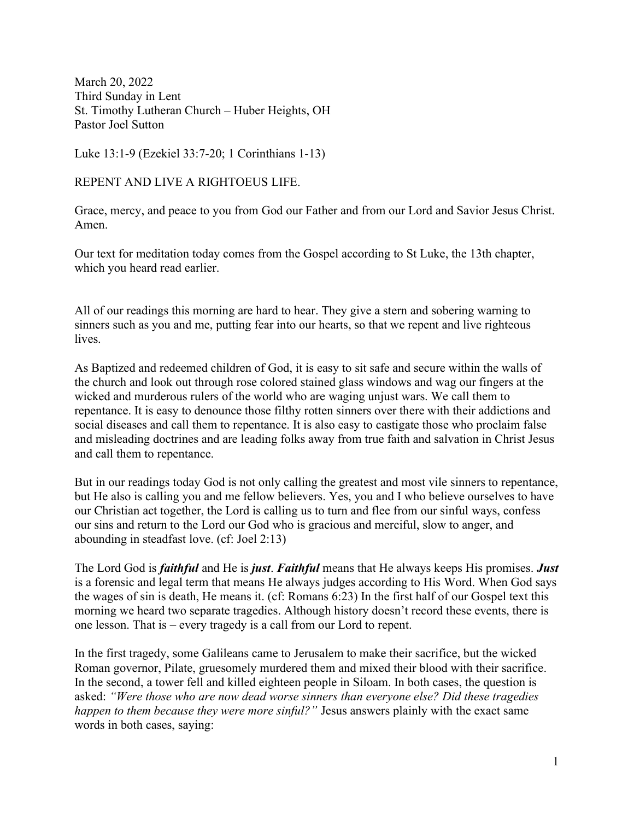March 20, 2022 Third Sunday in Lent St. Timothy Lutheran Church – Huber Heights, OH Pastor Joel Sutton

Luke 13:1-9 (Ezekiel 33:7-20; 1 Corinthians 1-13)

REPENT AND LIVE A RIGHTOEUS LIFE.

Grace, mercy, and peace to you from God our Father and from our Lord and Savior Jesus Christ. Amen.

Our text for meditation today comes from the Gospel according to St Luke, the 13th chapter, which you heard read earlier.

All of our readings this morning are hard to hear. They give a stern and sobering warning to sinners such as you and me, putting fear into our hearts, so that we repent and live righteous lives.

As Baptized and redeemed children of God, it is easy to sit safe and secure within the walls of the church and look out through rose colored stained glass windows and wag our fingers at the wicked and murderous rulers of the world who are waging unjust wars. We call them to repentance. It is easy to denounce those filthy rotten sinners over there with their addictions and social diseases and call them to repentance. It is also easy to castigate those who proclaim false and misleading doctrines and are leading folks away from true faith and salvation in Christ Jesus and call them to repentance.

But in our readings today God is not only calling the greatest and most vile sinners to repentance, but He also is calling you and me fellow believers. Yes, you and I who believe ourselves to have our Christian act together, the Lord is calling us to turn and flee from our sinful ways, confess our sins and return to the Lord our God who is gracious and merciful, slow to anger, and abounding in steadfast love. (cf: Joel 2:13)

The Lord God is *faithful* and He is *just. Faithful* means that He always keeps His promises. *Just* is a forensic and legal term that means He always judges according to His Word. When God says the wages of sin is death, He means it. (cf: Romans 6:23) In the first half of our Gospel text this morning we heard two separate tragedies. Although history doesn't record these events, there is one lesson. That is – every tragedy is a call from our Lord to repent.

In the first tragedy, some Galileans came to Jerusalem to make their sacrifice, but the wicked Roman governor, Pilate, gruesomely murdered them and mixed their blood with their sacrifice. In the second, a tower fell and killed eighteen people in Siloam. In both cases, the question is asked: "Were those who are now dead worse sinners than everyone else? Did these tragedies happen to them because they were more sinful?" Jesus answers plainly with the exact same words in both cases, saying: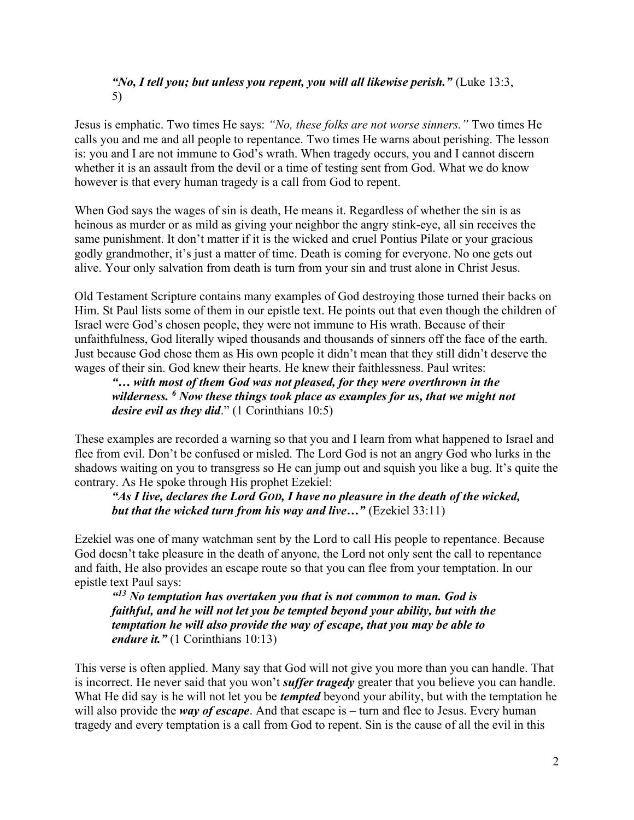# "No, I tell you; but unless you repent, you will all likewise perish." (Luke  $13:3$ , 5)

Jesus is emphatic. Two times He says: "No, these folks are not worse sinners." Two times He calls you and me and all people to repentance. Two times He warns about perishing. The lesson is: you and I are not immune to God's wrath. When tragedy occurs, you and I cannot discern whether it is an assault from the devil or a time of testing sent from God. What we do know however is that every human tragedy is a call from God to repent.

When God says the wages of sin is death, He means it. Regardless of whether the sin is as heinous as murder or as mild as giving your neighbor the angry stink-eye, all sin receives the same punishment. It don't matter if it is the wicked and cruel Pontius Pilate or your gracious godly grandmother, it's just a matter of time. Death is coming for everyone. No one gets out alive. Your only salvation from death is turn from your sin and trust alone in Christ Jesus.

Old Testament Scripture contains many examples of God destroying those turned their backs on Him. St Paul lists some of them in our epistle text. He points out that even though the children of Israel were God's chosen people, they were not immune to His wrath. Because of their unfaithfulness, God literally wiped thousands and thousands of sinners off the face of the earth. Just because God chose them as His own people it didn't mean that they still didn't deserve the wages of their sin. God knew their hearts. He knew their faithlessness. Paul writes:

"… with most of them God was not pleased, for they were overthrown in the wilderness. <sup>6</sup> Now these things took place as examples for us, that we might not desire evil as they did."  $(1$  Corinthians  $10:5)$ 

These examples are recorded a warning so that you and I learn from what happened to Israel and flee from evil. Don't be confused or misled. The Lord God is not an angry God who lurks in the shadows waiting on you to transgress so He can jump out and squish you like a bug. It's quite the contrary. As He spoke through His prophet Ezekiel:

"As I live, declares the Lord GOD, I have no pleasure in the death of the wicked, but that the wicked turn from his way and live..." (Ezekiel 33:11)

Ezekiel was one of many watchman sent by the Lord to call His people to repentance. Because God doesn't take pleasure in the death of anyone, the Lord not only sent the call to repentance and faith, He also provides an escape route so that you can flee from your temptation. In our epistle text Paul says:

 $413$  No temptation has overtaken you that is not common to man. God is faithful, and he will not let you be tempted beyond your ability, but with the temptation he will also provide the way of escape, that you may be able to endure it." (1 Corinthians 10:13)

This verse is often applied. Many say that God will not give you more than you can handle. That is incorrect. He never said that you won't *suffer tragedy* greater that you believe you can handle. What He did say is he will not let you be *tempted* beyond your ability, but with the temptation he will also provide the *way of escape*. And that escape is  $-$  turn and flee to Jesus. Every human tragedy and every temptation is a call from God to repent. Sin is the cause of all the evil in this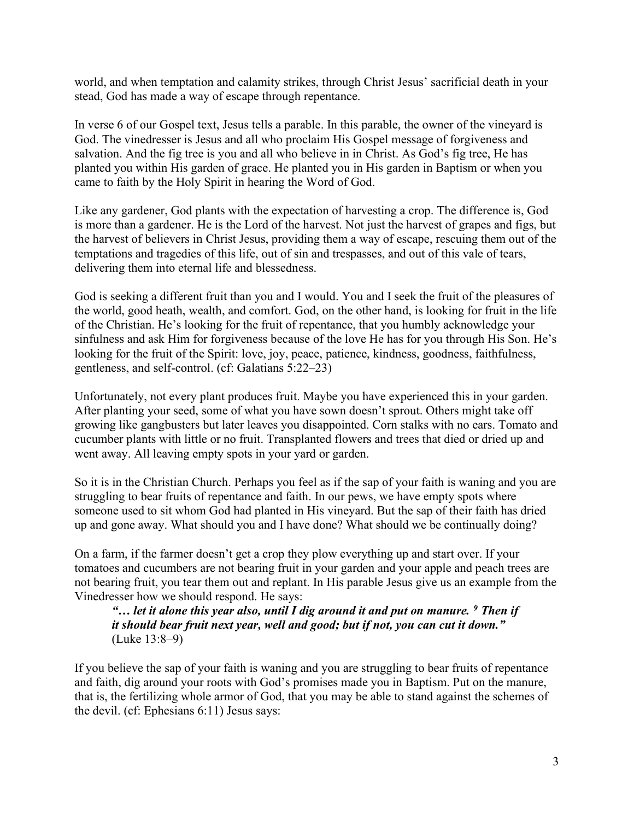world, and when temptation and calamity strikes, through Christ Jesus' sacrificial death in your stead, God has made a way of escape through repentance.

In verse 6 of our Gospel text, Jesus tells a parable. In this parable, the owner of the vineyard is God. The vinedresser is Jesus and all who proclaim His Gospel message of forgiveness and salvation. And the fig tree is you and all who believe in in Christ. As God's fig tree, He has planted you within His garden of grace. He planted you in His garden in Baptism or when you came to faith by the Holy Spirit in hearing the Word of God.

Like any gardener, God plants with the expectation of harvesting a crop. The difference is, God is more than a gardener. He is the Lord of the harvest. Not just the harvest of grapes and figs, but the harvest of believers in Christ Jesus, providing them a way of escape, rescuing them out of the temptations and tragedies of this life, out of sin and trespasses, and out of this vale of tears, delivering them into eternal life and blessedness.

God is seeking a different fruit than you and I would. You and I seek the fruit of the pleasures of the world, good heath, wealth, and comfort. God, on the other hand, is looking for fruit in the life of the Christian. He's looking for the fruit of repentance, that you humbly acknowledge your sinfulness and ask Him for forgiveness because of the love He has for you through His Son. He's looking for the fruit of the Spirit: love, joy, peace, patience, kindness, goodness, faithfulness, gentleness, and self-control. (cf: Galatians 5:22–23)

Unfortunately, not every plant produces fruit. Maybe you have experienced this in your garden. After planting your seed, some of what you have sown doesn't sprout. Others might take off growing like gangbusters but later leaves you disappointed. Corn stalks with no ears. Tomato and cucumber plants with little or no fruit. Transplanted flowers and trees that died or dried up and went away. All leaving empty spots in your yard or garden.

So it is in the Christian Church. Perhaps you feel as if the sap of your faith is waning and you are struggling to bear fruits of repentance and faith. In our pews, we have empty spots where someone used to sit whom God had planted in His vineyard. But the sap of their faith has dried up and gone away. What should you and I have done? What should we be continually doing?

On a farm, if the farmer doesn't get a crop they plow everything up and start over. If your tomatoes and cucumbers are not bearing fruit in your garden and your apple and peach trees are not bearing fruit, you tear them out and replant. In His parable Jesus give us an example from the Vinedresser how we should respond. He says:

"... let it alone this year also, until I dig around it and put on manure.  $9$  Then if it should bear fruit next year, well and good; but if not, you can cut it down." (Luke 13:8–9)

If you believe the sap of your faith is waning and you are struggling to bear fruits of repentance and faith, dig around your roots with God's promises made you in Baptism. Put on the manure, that is, the fertilizing whole armor of God, that you may be able to stand against the schemes of the devil. (cf: Ephesians 6:11) Jesus says: